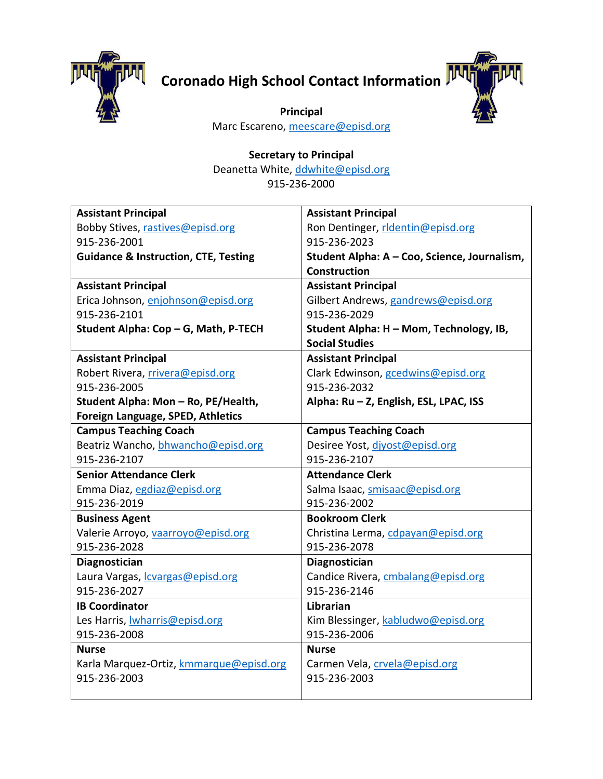

## **Coronado High School Contact Information**



**Principal** Marc Escareno, [meescare@episd.org](mailto:meescare@episd.org)

## **Secretary to Principal**

Deanetta White[, ddwhite@episd.org](mailto:ddwhite@episd.org) 915-236-2000

| <b>Assistant Principal</b>                      | <b>Assistant Principal</b>                   |
|-------------------------------------------------|----------------------------------------------|
| Bobby Stives, rastives@episd.org                | Ron Dentinger, ridentin@episd.org            |
| 915-236-2001                                    | 915-236-2023                                 |
| <b>Guidance &amp; Instruction, CTE, Testing</b> | Student Alpha: A - Coo, Science, Journalism, |
|                                                 | <b>Construction</b>                          |
| <b>Assistant Principal</b>                      | <b>Assistant Principal</b>                   |
| Erica Johnson, enjohnson@episd.org              | Gilbert Andrews, gandrews@episd.org          |
| 915-236-2101                                    | 915-236-2029                                 |
| Student Alpha: Cop - G, Math, P-TECH            | Student Alpha: H - Mom, Technology, IB,      |
|                                                 | <b>Social Studies</b>                        |
| <b>Assistant Principal</b>                      | <b>Assistant Principal</b>                   |
| Robert Rivera, rrivera@episd.org                | Clark Edwinson, gcedwins@episd.org           |
| 915-236-2005                                    | 915-236-2032                                 |
| Student Alpha: Mon - Ro, PE/Health,             | Alpha: Ru - Z, English, ESL, LPAC, ISS       |
| Foreign Language, SPED, Athletics               |                                              |
| <b>Campus Teaching Coach</b>                    | <b>Campus Teaching Coach</b>                 |
| Beatriz Wancho, bhwancho@episd.org              | Desiree Yost, divost@episd.org               |
| 915-236-2107                                    | 915-236-2107                                 |
| <b>Senior Attendance Clerk</b>                  | <b>Attendance Clerk</b>                      |
| Emma Diaz, egdiaz@episd.org                     | Salma Isaac, smisaac@episd.org               |
| 915-236-2019                                    | 915-236-2002                                 |
| <b>Business Agent</b>                           | <b>Bookroom Clerk</b>                        |
| Valerie Arroyo, vaarroyo@episd.org              | Christina Lerma, cdpayan@episd.org           |
| 915-236-2028                                    | 915-236-2078                                 |
| Diagnostician                                   | Diagnostician                                |
| Laura Vargas, <i>cvargas@episd.org</i>          | Candice Rivera, cmbalang@episd.org           |
| 915-236-2027                                    | 915-236-2146                                 |
| <b>IB Coordinator</b>                           | Librarian                                    |
| Les Harris, <b>Iwharris@episd.org</b>           | Kim Blessinger, kabludwo@episd.org           |
| 915-236-2008                                    | 915-236-2006                                 |
| <b>Nurse</b>                                    | <b>Nurse</b>                                 |
| Karla Marquez-Ortiz, kmmarque@episd.org         | Carmen Vela, crvela@episd.org                |
| 915-236-2003                                    | 915-236-2003                                 |
|                                                 |                                              |